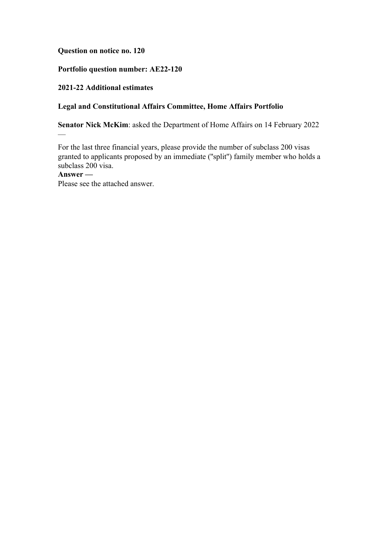## **Question on notice no. 120**

# **Portfolio question number: AE22-120**

## **2021-22 Additional estimates**

## **Legal and Constitutional Affairs Committee, Home Affairs Portfolio**

**Senator Nick McKim**: asked the Department of Home Affairs on 14 February 2022

For the last three financial years, please provide the number of subclass 200 visas granted to applicants proposed by an immediate (''split'') family member who holds a subclass 200 visa.

## **Answer —**

—

Please see the attached answer.